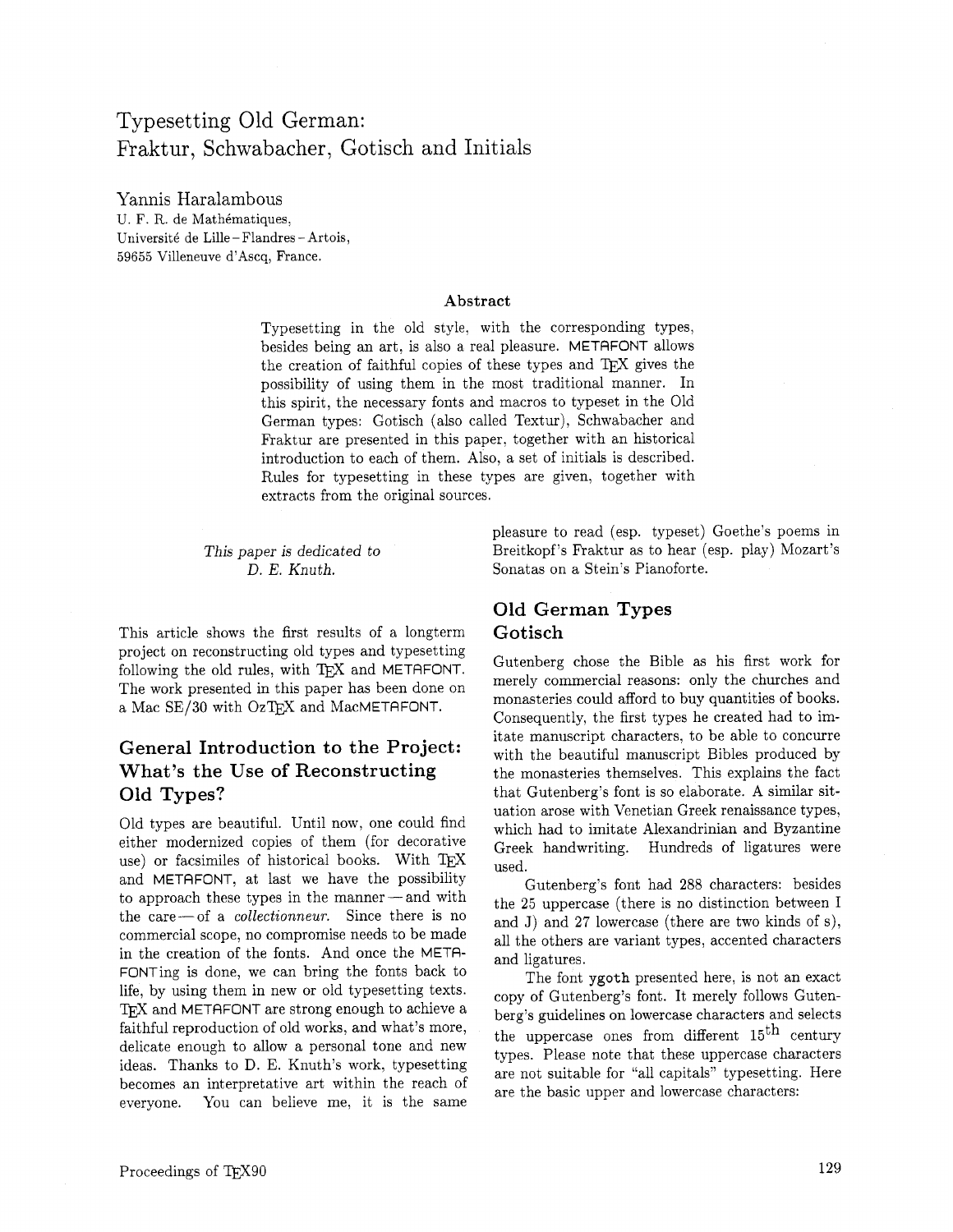### Typesetting Old German: Fraktur, Schwabacher, Gotisch and Initials

Yannis Haralambous U. F. R. de Mathématiques, Université de Lille-Flandres-Artois, 59655 Villeneuve d'Ascq, France.

#### **Abstract**

Typesetting in the old style, with the corresponding types, besides being an art, is also a real pleasure. METAFONT allows the creation of faithful copies of these types and  $T_{E}X$  gives the possibility of using them in the most traditional manner. In this spirit, the necessary fonts and macros to typeset in the Old German types: Gotisch (also called Textur), Schwabacher and Fraktur are presented in this paper, together with an historical introduction to each of them. Also, a set of initials is described. Rules for typesetting in these types are given, together with extracts from the original sources.

This paper is dedicated to D. E. Knuth.

This article shows the first results of a longterm project on reconstructing old types and typesetting following the old rules, with  $T_F X$  and METAFONT. The work presented in this paper has been done on a Mac  $SE/30$  with OzTFX and MacMETAFONT.

### **General Introduction to the Project: What's the Use of Reconstructing Old Types?**

Old types are beautiful. Until now, one could find either modernized copies of them (for decorative use) or facsimiles of historical books. With TEX and METAFONT, at last we have the possibility to approach these types in the manner-and with the care-of a *collectionneur.* Since there is no commercial scope, no compromise needs to be made in the creation of the fonts. And once the META-FONTing is done, we can bring the fonts back to life, by using them in new or old typesetting texts. TFX and METAFONT are strong enough to achieve a faithful reproduction of old works, and what's more, delicate enough to allow a personal tone and new ideas. Thanks to D. E. Knuth's work, typesetting becomes an interpretative art within the reach of everyone. You can believe me, it is the same

pleasure to read (esp. typeset) Goethe's poems in Breitkopf's Fraktur as to hear (esp. play) Mozart's Sonatas on a Stein's Pianoforte.

### **Old German Types Gotisch**

Gutenberg chose the Bible as his first work for merely commercial reasons: only the churches and monasteries could afford to buy quantities of books. Consequently, the first types he created had to imitate manuscript characters, to be able to concurre with the beautiful manuscript Bibles produced by the monasteries themselves. This explains the fact that Gutenberg's font is so elaborate. A similar situation arose with Venetian Greek renaissance types. which had to imitate Alexandrinian and Byzantine Greek handwriting. Hundreds of ligatures were used.

Gutenberg's font had 288 characters: besides the 25 uppercase (there is no distinction between I and J) and 27 lowercase (there are two kinds of s), all the others are variant types, accented characters and ligatures.

The font ygoth presented here, is not an exact copy of Gutenberg's font. It merely follows Gutenberg's guidelines on lowercase characters and selects the uppercase ones from different  $15<sup>th</sup>$  century types. Please note that these uppercase characters are not suitable for "all capitals" typesetting. Here are the basic upper and lowercase characters: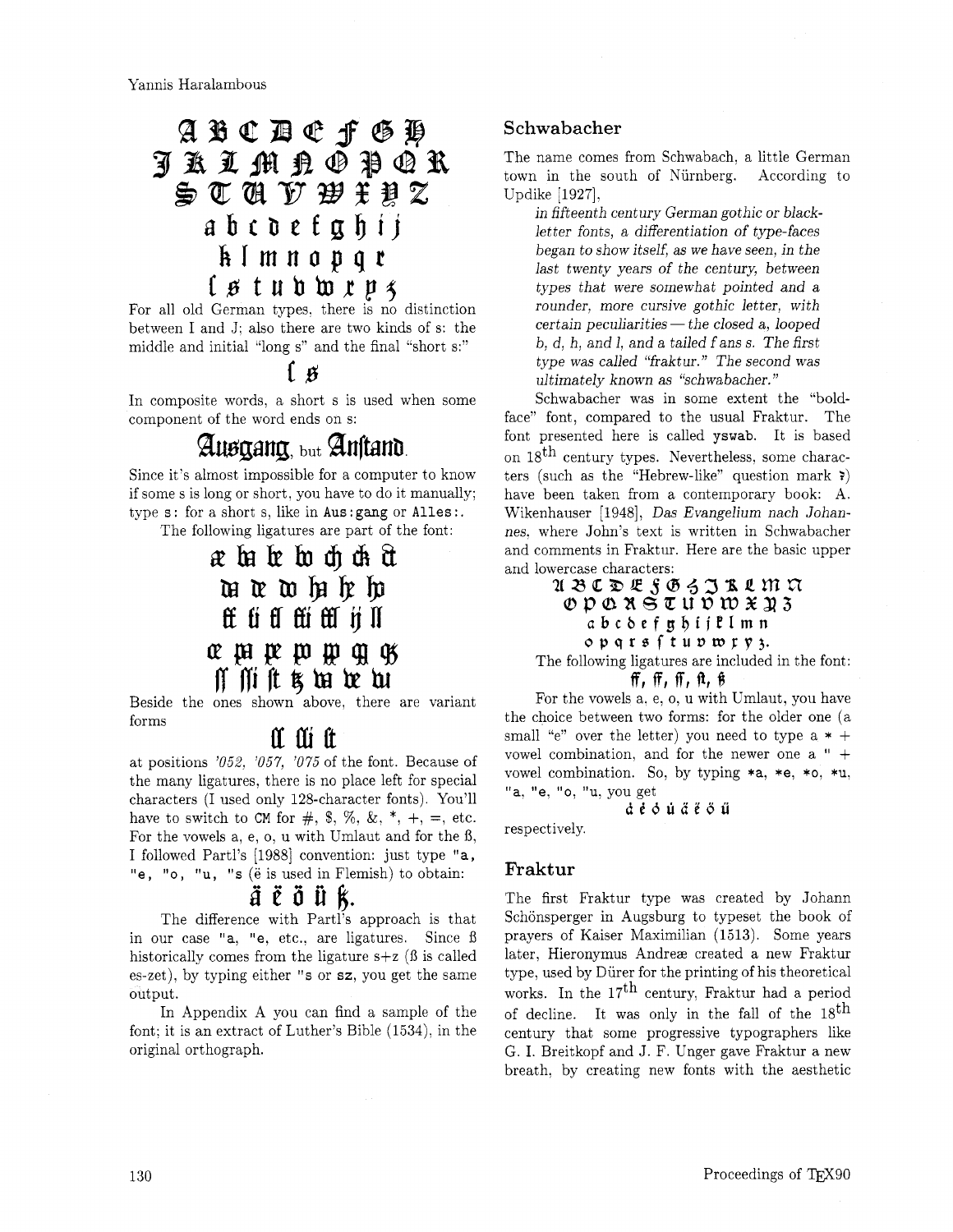# ${\mathfrak{A}}\hspace{0.1cm}{\mathfrak{B}}\hspace{0.1cm}{\mathfrak{C}}\hspace{0.1cm}{\mathfrak{D}}\hspace{0.1cm}{\mathfrak{C}}\hspace{0.1cm}{\mathfrak{f}}\hspace{0.1cm}{\mathfrak{G}}\hspace{0.1cm}{\mathfrak{P}}$ **JAIMA@PQR** STÁ F WIPZ abcdefghij klmnopqr **Ls twbbrp~**

For all old German types. there is no distinction between I and J; also there are two kinds of s: the middle and initial "long s" and the final "short s:"

### $\bf{A}$

In composite words, a short s is used when some component of the word ends on s:

# Ausgang, but Anstand.

Since it's almost impossible for a computer to know if some s is long or short, you have to do it manually; type  $s$ : for a short  $s$ , like in Aus: gang or Alles :.

The following ligatures are part of the font:

# æba be bo ch ch ch u a wh h h Et ti fl fti fti ij II *~PpePJ@QlgJ*  Rfliftf kbthr

Beside the ones shown above, there are variant forms

# II III It

at positions '052, '057, '075 of the font. Because of the many ligatures. there is no place left for special characters (I used only 128-character fonts). You'll have to switch to CM for  $\#$ , \$, %, &,  $*$ ,  $+$ ,  $=$ , etc. For the vowels a, e, o, u with Umlaut and for the 8, I followed Partl's [1988] convention: just type "a, "e, "o, "u, "s ( $\ddot{e}$  is used in Flemish) to obtain:

### *diiifit.*

The difference with Partl's approach is that in our case "a, "e, etc., are ligatures. Since ß historically comes from the ligature  $s+z$  ( $\beta$  is called es-zet), by typing either "s or sz, you get the same output.

In Appendix A you can find a sample of the font: it is an extract of Luther's Bible (1534), in the original orthograph.

#### Schwabacher

The name comes from Schwabach, a little German town in the south of Niirnberg. According to Updike [1927].

in fifteenth century German gothic or blackletter fonts, a differentiation of type-faces began to show itself, as we have seen, in the last twenty years of the century, between types that were somewhat pointed and a rounder, more cursive gothic letter, with  $certain\ peculiarities$  - the closed a, looped  $b, d, h, and l, and a tailed f.$  ans s. The first type was called "fraktur." The second was ultimately known as "schwabacher. "

Schwabacher was in some extent the "boldface" font, compared to the usual Fraktur. The font presented here is called yswab. It is based on  $18^{\text{th}}$  century types. Nevertheless, some characters (such as the "Hebrew-like" question mark **2)**  have been taken from a contemporary book: A. Wikenhauser [1948], Das Evangelium nach Johannes. where John's text is written in Schwabacher and comments in Fraktur. Here are the basic upper and lowercase characters:<br>  $\mathfrak{A} \otimes \mathfrak{C} \otimes \mathfrak{C} \otimes \mathfrak{C} \otimes \mathfrak{S} \otimes \mathfrak{S} \otimes \mathfrak{C} \otimes \mathfrak{M} \otimes \mathfrak{C}$ 

### $OD$   $Q$   $R$   $S$   $U$   $U$   $D$   $W$   $X$   $X$   $3$ **abcbefg@ijEImn**  opqre **ftuvwrp3.**

The following ligatures are included in the font: ff, **ffl IT1 121** f'J

For the vowels **a,** e,o, u with Umlaut, you have the choice between two forms: for the older one (a small "e" over the letter) you need to type a  $*$  + vowel combination, and for the newer one a " + vowel combination. So, by typing \*a, \*e, \*o, \*u, "a. "e, "0, "u, you get

**dt6uii20ii** 

respectively.

#### Fraktur

The first Fraktur type was created by Johann Schönsperger in Augsburg to typeset the book of prayers of Kaiser Maximilian (1513). Some years later, Hieronymus Andreae created a new Fraktur type, used by Diirer for the printing of his theoretical works. In the  $17<sup>th</sup>$  century, Fraktur had a period of decline. It was only in the fall of the  $18<sup>th</sup>$ century that some progressive typographers like G. I. Breitkopf and J. F. Unger gave Fraktur a new breath, by creating new fonts with the aesthetic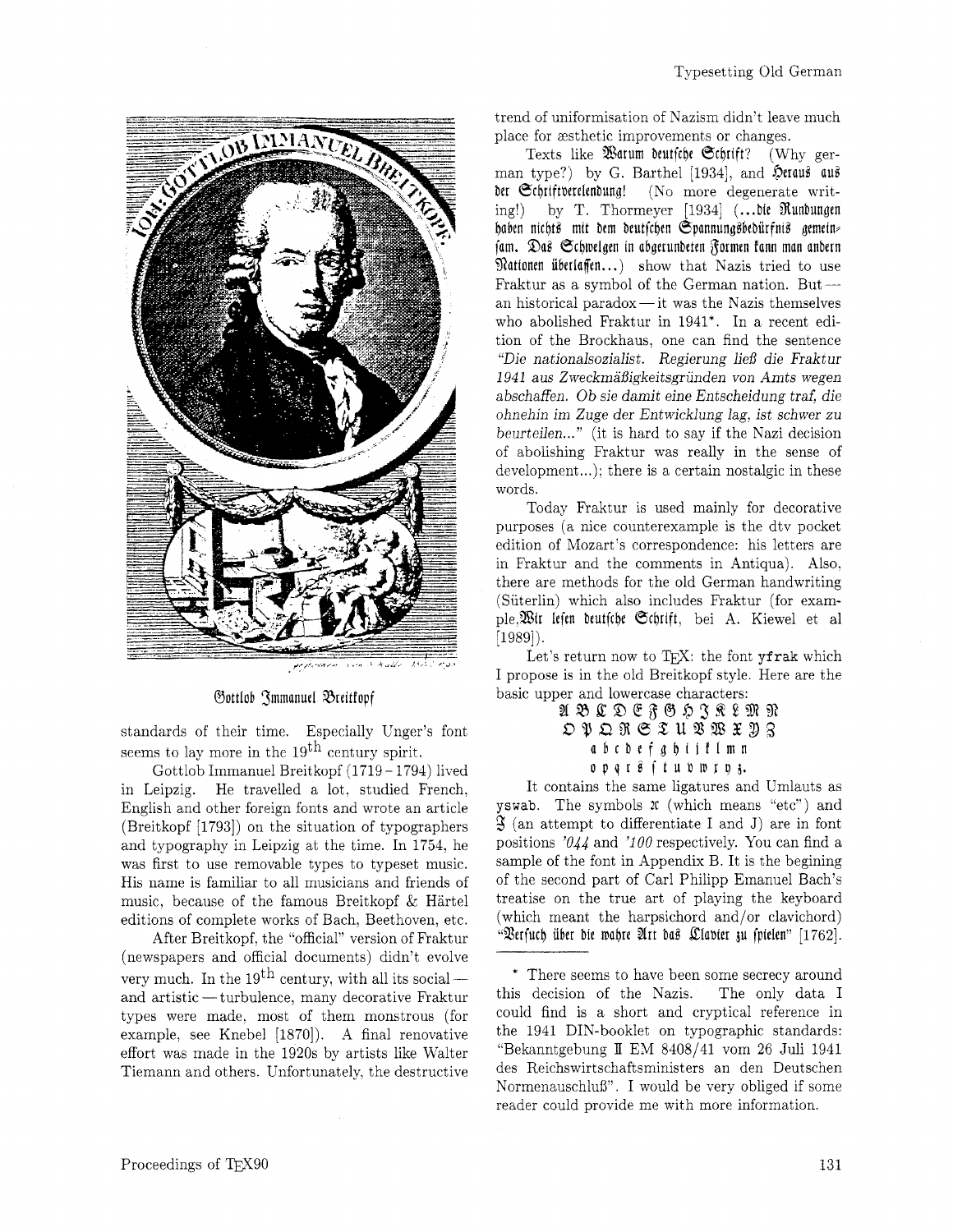

 $23.5$  .

#### *Sottlob Smmanuel Breitfopf*

standards of their time. Especially Cnger's font seems to lay more in the  $19<sup>th</sup>$  century spirit.

Gottlob Immanuel Breitkopf (1719–1794) lived<br>in Leipzig. He travelled a lot, studied French, He travelled a lot, studied French, English and other foreign fonts and wrote an article (Breitkopf [1793]) on the situation of typographers and typography in Leipzig at the time. In 1754, he was first to use removable types to typeset music. His name is familiar to all musicians and friends of music, because of the famous Breitkopf & Hartel editions of complete works of Bach, Beethoven, etc.

After Breitkopf, the "official" version of Fraktur (newspapers and official documents) didn't evolve very much. In the 19<sup>th</sup> century, with all its social—<br>and artistic — turbulence, many decorative Fraktur types were made. most of them monstrous (for example. see Knebel [1870]). A final renovative effort was made in the 1920s by artists like Walter Tiemann and others. Unfortunately, the destructive

trend of uniformisation of Nazism didn't leave much place for zsthetic improvements or changes.

Texts like Warum beutfche Schrift? (Why german type?) by G. Barthel [1934], and  $\hat{\mathcal{D}}$ eraus aus ber Schriftverelenbung! (No more degenerate writing!) by T. Thormeyer  $[1934]$  (... bie Runbungen haben nichts mit dem deutschen Spannungsbedürfnis gemein (am. DaB @c\$melgen in abgrrunbeten Barmen Eann man anbern pan. 20as Schweigen in abgerunderen gormen rann man andern<br>Rationen überlaffen...) show that Nazis tried to use<br>Fraktur as a symbol of the German nation. But ---<br>on historical name drug it was the Nazis theoretical an historical paradox-it was the Nazis themselves who abolished Fraktur in 1941\*. In a recent edition of the Brockhaus, one can find the sentence "Die nationalsozialist. Regierung ließ die Fraktur 1941 aus ZweckrnaBigkeitsgriinden von Arnts wegen abschaffen. Ob sie damit eine Entscheidung traf, die ohnehin im Zuge der Entwicklung lag, ist schwer zu beurteilen..." (it is hard to say if the Nazi decision of abolishing Fraktur was really in the sense of development...): there is a certain nostalgic in these words.

Today Fraktur is used mainly for decorative purposes (a nice counterexample is the dtv pocket edition of Mozart's correspondence: his letters are in Fraktur and the comments in Antiqua). Also. there are methods for the old German handwriting (Siiterlin) which also includes Fraktur (for example,%ir leien beutfcbe Ocbrift, bei A. Kiewel et a1 [1989]).

Let's return now to TEX: the font yfrak which I propose is in the old Breitkopf style. Here are the basic upper and lowercase characters:

#### A B C D E F G H Z R & M R OPORSTURWXY3 abcbefgbiiflmn opqr8 (tubmrp3.

It contains the same ligatures and Umlauts as yswab. The symbols **2C** (which means "etc") and  $\mathfrak{F}$  (an attempt to differentiate I and J) are in font positions  $'044$  and  $'100$  respectively. You can find a sample of the font in Appendix B. It is the begining of the second part of Carl Philipp Emanuel Bach's treatise on the true art of playing the keyboard (which meant the harpsichord and/or clavichord) "Verfuch über die wahre Art das Clavier zu spielen" [1762].

<sup>\*</sup> There seems to have been some secrecy around this decision of the Nazis. The only data I could find is a short and cryptical reference in the 1941 DIN-booklet on typographic standards: "Bekanntgebung  $II$  EM 8408/41 vom 26 Juli 1941 des Reichswirtschaftsministers an den Deutschen Normenauschlul3". I would be very obliged if some reader could provide me with more information.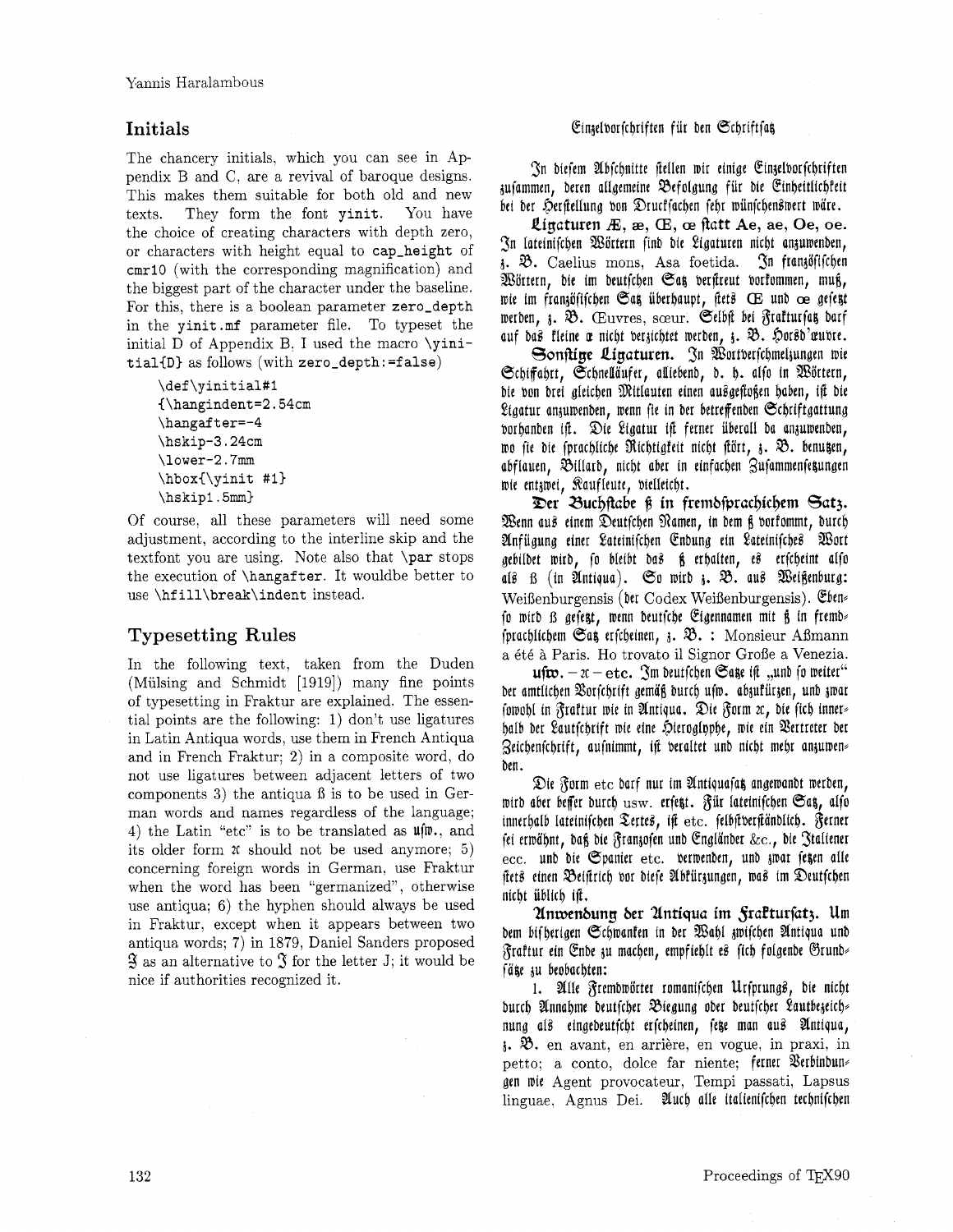The chancery initials, which you can see in Appendix B and C, are a revival of baroque designs. This makes them suitable for both old and new texts. They form the font **yinit.** You have the choice of creating characters with depth zero, or characters with height equal to **cap-height** of **cmrl0** (with the corresponding magnification) and the biggest part of the character under the baseline. For this, there is a boolean parameter **zero-depth**  in the **yinit .mf** parameter file. To typeset the initial D of Appendix B, I used the macro **\yinit ialCD)** as follows (with **zero-depth** : **=false)** 

```
\def\yinitial#l 
C\hangindent=2.54cm 
\hangaf t er=-4 
\hskip-3.24cm 
\lower-2.7mm 
\hbox(\yinit #I) 
\hskipl.5mrn)
```
Of course, all these parameters will need some adjustment, according to the interline skip and the textfont you are using. Note also that **\par** stops the execution of **\hangafter.** It wouldbe better to use **\hf ill\break\indent** instead.

### **Typesetting Rules**

In the following text, taken from the Duden (Mulsing and Schmidt [1919]) many fine points of typesetting in Fraktur are explained. The essential points are the following: 1) don't use ligatures in Latin Antiqua words, use them in French Antiqua and in French Fraktur: 2) in a composite word, do not use ligatures between adjacent letters of two components  $3$ ) the antiqua  $\beta$  is to be used in German words and names regardless of the language; 4) the Latin "etc" is to be translated as  $\mathfrak{u}(\mathfrak{w}_{1}, \mathfrak{a})$ its older form 2c should not be used anymore; *5)*  concerning foreign words in German, use Fraktur when the word has been "germanized", otherwise use antiqua: 6) the hyphen should always be used in Fraktur, except when it appears between two antiqua words; 7) in 1879, Daniel Sanders proposed  $\mathfrak{F}$  as an alternative to  $\mathfrak F$  for the letter J; it would be nice if authorities recognized it.

#### **Initials Einzelvorfchriften für den Schriftfat**

(Sn biefem Ubfcbnitte tellen mir einige Eingelborfcljriften aufammen, beren allgemeine Qefolgung fiir bie Einbeitlicbfeit bei der Herstellung von Drucksachen sehr wünschenswert wäre.

*Qigaturen IE,* **ae,** (E, **oe** *ftatt* **Ae,** *ae,* **Oe,** *oe.*  fSn Iateinifcben %ortern finb bie eigaturen nicbt angumenben,  $\delta$ .  $\mathfrak{B}$ . Caelius mons, Asa foetida.  $\mathfrak{S}$ n fran $\delta$ fifchen Wörtern, die im deutschen Sag verstreut vorkommen, muß, mie im frangofifcben Oat, iiberbaupt, fie10 (E unb **ae** gefe\$t werden, z. B. Œuvres, sœur. Selbst bei Fraktursat darf auf das kleine æ nicht berzichtet werden, z. B. Horsd'æubre.

Sonstige Ligaturen. In Wortberfchmelzungen wie @ct)ifa\$rt, @cljnellaufer, alliebenb, b. 6. alfo in %ortern, bie bon brei gleicben %itlauten einen auBgeffo\$en baben, iff bie Ligatur anzuwenden, wenn fie in der betreffenden Schriftgattung vorhanden ift. Die Ligatur ift ferner überall da anzuwenden, wo sie die fprachliche Richtigfeit nicht stört, 3. B. benugen, abflauen, Billard, nicht aber in einfachen Zusammensetzungen mie entamei, Raufleute, bielleicbt.

*Ber 3ucIjftabe* **tj** *in frembfprac~icIjem 6at3.*  %enn au8 einem Deutfcben %amen, in bem \$ borfommt, burcb Anfügung einer Lateinischen Endung ein Lateinisches Wort gebilbet wird, fo bleibt bas § erhalten, es erfcheint alfo als *B* (in Antiqua). So wird z. B. aus Weißenburg: Weißenburgensis (der Codex Weißenburgensis). Eben fo wird  $\beta$  gefett, wenn deutfche Eigennamen mit  $\beta$  in fremde fprachlichem  $\mathfrak{S}$ at erfcheinen,  $\mathfrak{z}. \mathfrak{B}. :$  Monsieur Aßmann a 6t6 *B* Paris. Ho trovato il Signor Grofie a Venezia.

 $\mathbf{u}$ f $\mathbf{w}$ .  $-\mathbf{x} - \mathbf{etc.}$  Im deutfchen Saze ift "und fo weiter" ber amtlichen Borfchrift gemäß burch ufw. abzufürzen, unb zwar fowohl in Fraftur wie in Antiqua. Die Form zc, die fich innerbalb ber eautfcljrift mie eine \$)ieroglt)pbe, mie ein gertreter ber 3eicljenfc\$rift, aufnimmt, iff beraltet unb nicbt mebr angumen# ben.

Die Form etc darf nur im Antiquafat angewandt werden, wird aber beffer durch  $_{\rm usw.}$  erfe $_{\rm st.}$  Für lateinifchen Sa $_{\rm s.}$  alfo innerhalb lateinischen Tertes, ist etc. felbstverständlich. Ferner fei ermabnt, ba\$ bie Sraniofen unb Englanber &c., bie 3taliener ecc. und die Spanier etc. verwenden, und zwar fetzen alle ftets einen Beiftrich vor diese Abkürzungen, was im Deutschen nicbt iiblicb ifi.

*Unwenbung ber Untiqua im fratturfatj.* Um bem bifherigen Schwanken in der Wahl zwischen Antiqua und graftur ein Enbe gu macben, empfieblt eB ficb foigenbe @runb+ fäte zu beobachten:

1. Alle Fremdwörter romanischen Ursprungs, die nicht burch Annabme deutfcher Biegung oder deutfcher Lautbezeich nung a10 eingebeutfcbt erfcbeinen, fete man auB Untiqua,  $\lambda$ .  $\mathfrak{B}$ . en avant, en arrière, en vogue, in praxi, in petto; a conto, dolce far niente; ferner Verbinbun gen mie Agent provocateur, Tempi passati, Lapsus linguae, Agnus Dei. Auch alle italienifchen technifchen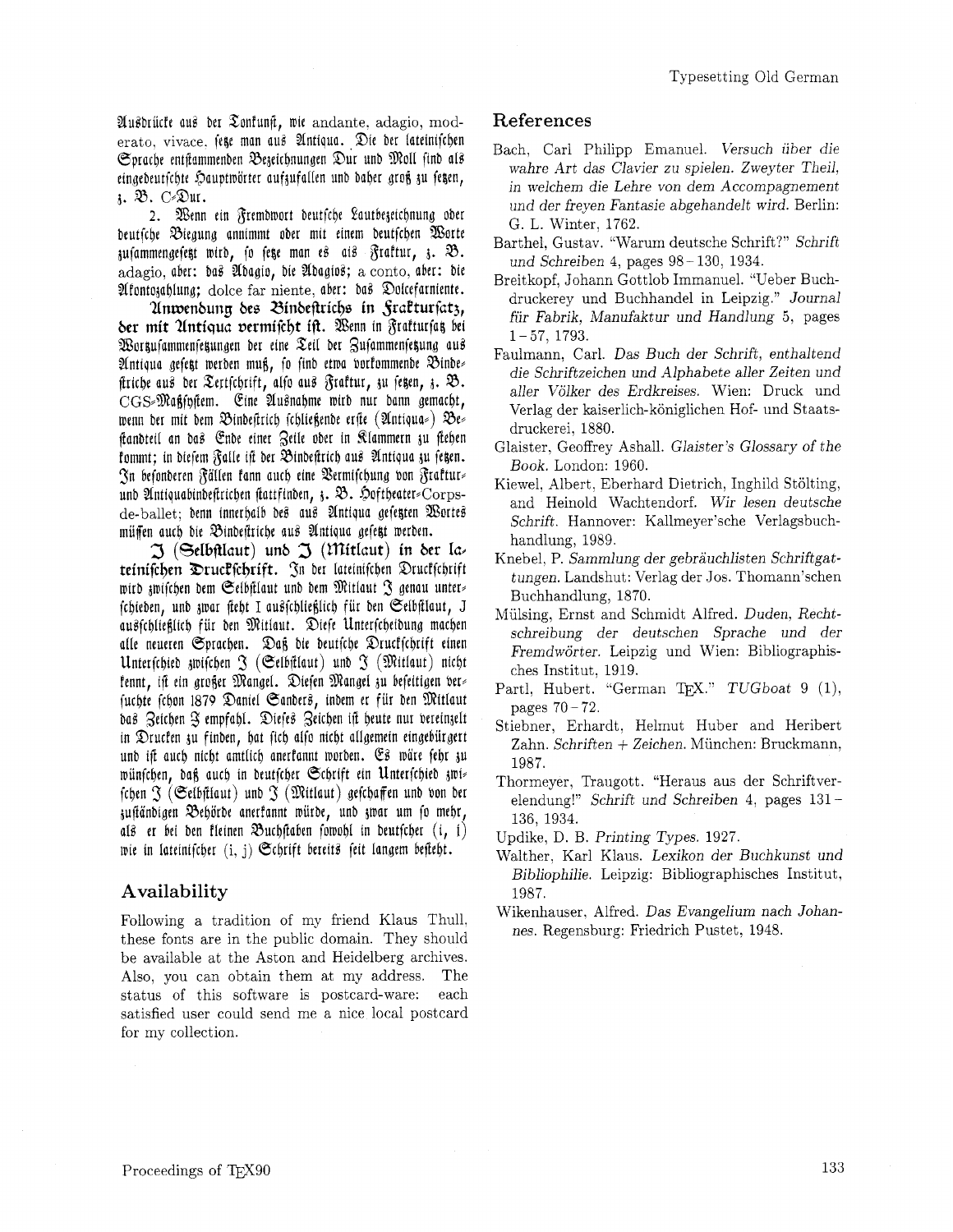Ausbrücke aus der Zonfungt, wie andante, adagio, moderato, vivace. fege man aus Antiqua. Die der lateinischen Sprache entstammenden Bezeichnungen Dur und Moll find als eingedeutschte Hauptwörter aufzufallen und daher groß zu segen, 1. B. C-Dur.

2. Wenn ein Fremdwort deutsche Lautbezeichnung oder deutsche Biegung annimmt oder mit einem deutschen Worte zusammengesetzt wird, so seze man es ais Fraktur, z. B. adagio, aber: bas Abagio, bie Abagios; a conto, aber: bie Afontozahlung; dolce far niente, aber: das Dolcefarniente.

Unwendung des Bindestrichs in Graktursatz, der mit Untiqua vermischt ist. Wenn in Frakturfas bei Workufammenfekungen der eine Zeil der Zusammenfekung aus Antiqua gefett werden muß, fo find etwa vorkommende Bindes ftriche aus der Tertschrift, also aus Fraktur, zu segen, z. B.  $\text{CGS-Maffin}$ ftem. Eine Ausnahme wird nur dann gemacht, wenn der mit dem Bindestrich schließende erste (Antiqua») Bes standteil an das Ende einer Zeile oder in Klammern zu stehen kommt; in diesem Falle ist der Bindestrich aus Antiqua zu fegen. In befonderen Fällen fann auch eine Vermischung von Frakturs und Antiquabindeftrichen stattfinden,  $\delta$ . Doftheater=Corpsde-ballet; denn innerhalb des aus Antiqua gesetzten Wortes müssen auch die Bindestriche aus Antiqua gesetzt werden.

 $\mathfrak I$  (Selbftlaut) und  $\mathfrak I$  (Mitlaut) in der lateinischen Druckschrift. In der lateinischen Druckschrift wird zwischen dem Selbstlaut und dem Mitlaut J genau unter fchieden, und zwar steht I ausschließlich für den Seibstlaut, J ausschließlich für den Mitlaut. Diese Unterscheidung machen alle neueren Sprachen. Daß die deutsche Druckschrift einen Unterschied gwischen  $\mathfrak F$  (Selbstlaut) und  $\mathfrak F$  (Mitlaut) nicht fennt, ift ein großer Mangel. Diesen Mangel zu beseitigen verfuchte fchon 1879 Daniel Sanders, indem er für den Mitlaut das Zeichen 3 empfahl. Diefes Zeichen ist heute nur vereinzelt in Drucken zu finden, hat fich also nicht allgemein eingebürgert und ist auch nicht amtlich anerfannt worden. Es wäre fehr zu wünschen, daß auch in deutscher Schrift ein Unterschied zwis fchen  $\mathfrak F$  (Selbstlaut) und  $\mathfrak F$  (Mitlaut) gefchaffen und von der zuständigen Behörde anerkannt würde, und zwar um so mehr, als er bei den kleinen Buchstaben fowohl in deutscher (i, i) wie in lateinischer (i, j) Schrift bereits seit langem besteht.

### Availability

Following a tradition of my friend Klaus Thull, these fonts are in the public domain. They should be available at the Aston and Heidelberg archives. Also, you can obtain them at my address. The status of this software is postcard-ware: each satisfied user could send me a nice local postcard for my collection.

#### References

- Bach, Carl Philipp Emanuel. Versuch über die wahre Art das Clavier zu spielen. Zweyter Theil, in welchem die Lehre von dem Accompagnement und der freyen Fantasie abgehandelt wird. Berlin: G. L. Winter, 1762.
- Barthel, Gustav. "Warum deutsche Schrift?" Schrift und Schreiben 4, pages 98-130, 1934.
- Breitkopf, Johann Gottlob Immanuel. "Ueber Buchdruckerey und Buchhandel in Leipzig." Journal für Fabrik, Manufaktur und Handlung 5, pages  $1 - 57, 1793.$
- Faulmann, Carl. Das Buch der Schrift, enthaltend die Schriftzeichen und Alphabete aller Zeiten und aller Völker des Erdkreises. Wien: Druck und Verlag der kaiserlich-königlichen Hof- und Staatsdruckerei, 1880.
- Glaister, Geoffrey Ashall. Glaister's Glossary of the Book. London: 1960.
- Kiewel, Albert, Eberhard Dietrich, Inghild Stölting, and Heinold Wachtendorf. Wir lesen deutsche Schrift. Hannover: Kallmeyer'sche Verlagsbuchhandlung, 1989.
- Knebel, P. Sammlung der gebräuchlisten Schriftgattungen. Landshut: Verlag der Jos. Thomann'schen Buchhandlung, 1870.
- Mülsing, Ernst and Schmidt Alfred. Duden, Rechtschreibung der deutschen Sprache und der Fremdwörter. Leipzig und Wien: Bibliographisches Institut, 1919.
- Partl, Hubert. "German TFX." TUGboat 9 (1), pages  $70-72$ .
- Stiebner, Erhardt, Helmut Huber and Heribert Zahn. Schriften + Zeichen. München: Bruckmann, 1987.
- Thormever, Traugott. "Heraus aus der Schriftverelendung!" Schrift und Schreiben 4, pages 131-136, 1934.
- Updike, D. B. Printing Types. 1927.
- Walther, Karl Klaus. Lexikon der Buchkunst und Bibliophilie. Leipzig: Bibliographisches Institut, 1987.
- Wikenhauser, Alfred. Das Evangelium nach Johannes. Regensburg: Friedrich Pustet, 1948.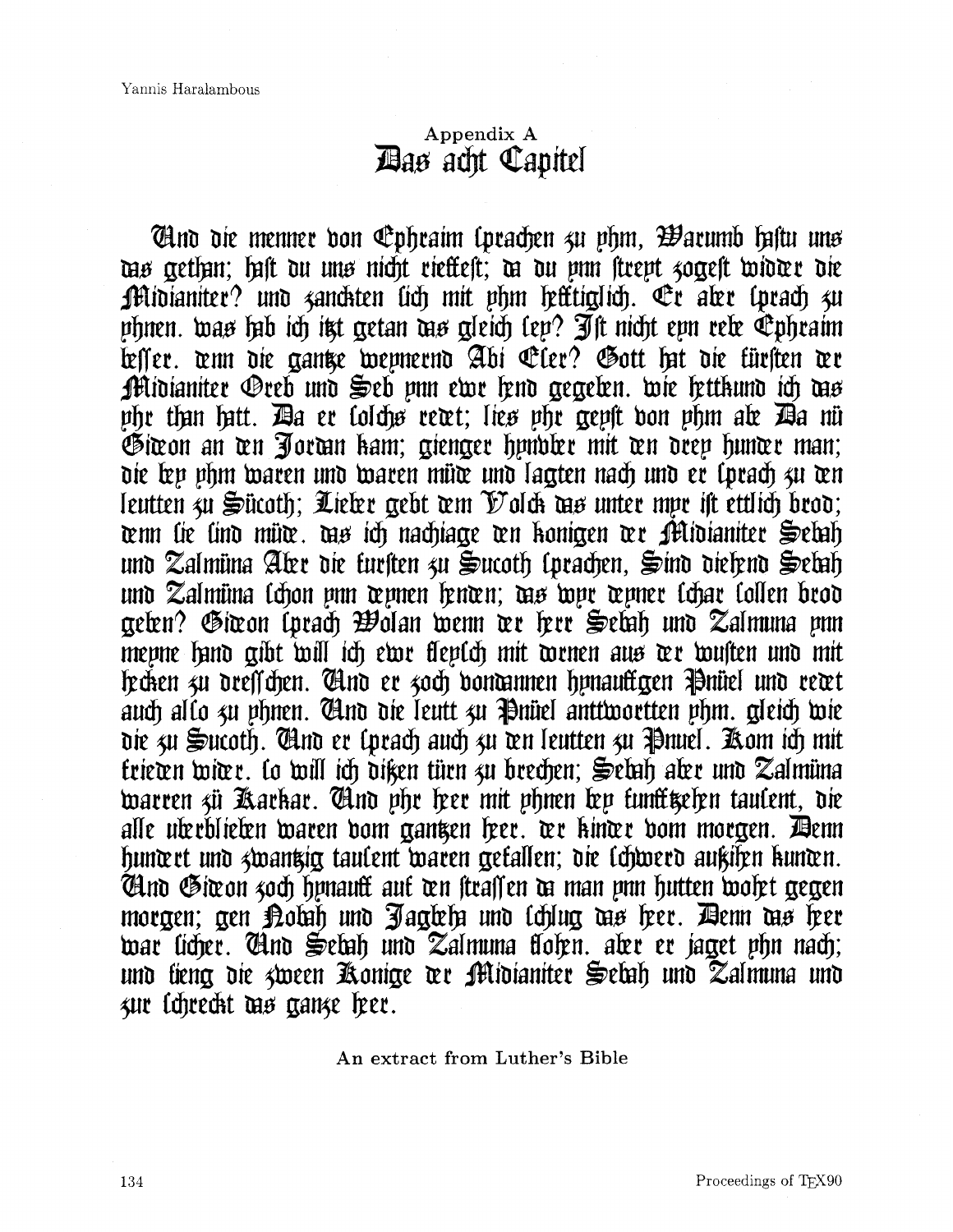## **Appendix A**  *Aas acht Capitel*

**Thus die menner don Ephraim (prachen 4u phm, Barumb haftu uns** das gethan; haft du uns nicht riestest; da du unn strept zogest widder die Midianiter? und zanchten lich mit phm hefttiglich. Er aber lprach zu phnen. was hib ich itt getan dis gleich lep? Ift nicht epn rele Ephraim bester. wir die aantse wepnernd Abi Eler? Gott hit die türsten we Midianiter Oreb und Seb pun ewr fend gegeben. wie fettkund ich das phr than hatt. Ba er lolchø rewt; lieø phr gepft von phm ale Ba nü Giwon an ten Jortan kam; gienger hyndler mit ten drep hunter man; die lep phm waren und waren müte und lagten nach und er lprach zu ten leutten zu Sücoth; Lieler gebt wm Volck as unter mpr ist ettlich brod; tenn lie lind müte. des ich nachtage ten konigen ter Midlaniter Selah und Zalmüna Aler die tursten zu Sucoth (prachen, Sind dielend Selah und Zalmüna lchon pun wpnen henwn; das dopr wpner lchar lollen brod geten? Giwon (prach Wolan wenn we here Setah und Zalmuna pnn mepne hand gibt will ich ewe fleplch mit wenen aus der wusten und mit lecken zu dresschen. Glud er zoch donannen hynauftgen Pnüel und rewt auch allo zu phnen. Clno die leutt zu Pnüel anttwortten phm. gleich wie die 3u Sucoth. Clud er lprach auch 3u den leutten 3u Pinuel. Aom ich mit trieten witer. lo will ich diken türn zu brechen; Seluh aler und Zalmüna warren zü Karkar. Tind phr her mit phnen ben tunftigehen taulent, die alle uberblieben waren bom gantzen leer. der kinder bom morgen. Denn hunwet und swantig taulent waren gefallen; die lchwerd außihen kunwn. Gind Giwon 40ch hynauft auf wn straffen da man ynn hutten wolet gegen morgen; gen Kolah und Jagleh und lchlug dis heer. Denn dis heer war licher. Chno Sebah uno Zalmuna flohen, aber er jaget phn nach; und lieng die «ween Konige der Midianiter Selah und Zalmuna und zur lchrecht das cranze leer.

**An extract** from **Luther's** Bible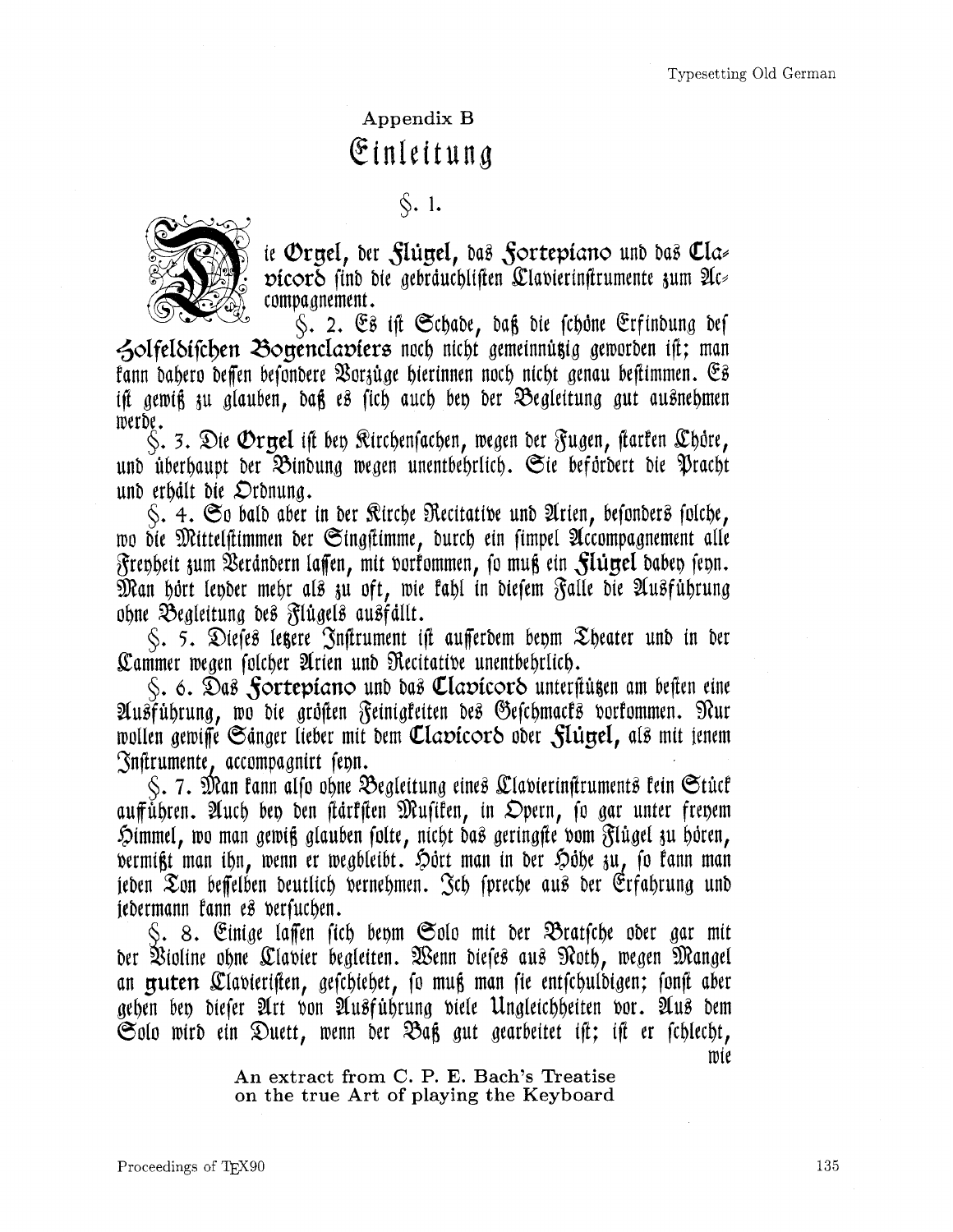# Appendix B Einleitung

 $\hat{\mathcal{S}}$ . 1.



ie Oryel, der Flüyel, das Fortepiano und das Clavicoro find die gebräuchlisten Clavierinstrumente zum Accompagnement.

S. 2. Es ist Schade, daß die schäne Erfindung des Zolfeldischen Bouenclaviers noch nicht gemeinnüzig geworden ist; man fann dabero deffen besondere Vorzüge hierinnen noch nicht genau bestimmen. Es ist gewiß zu glauben, daß es sich auch ben der Begleitung gut ausnehmen werde.

 $\mathcal{S}$ . 3. Die **O**r $\pi$ el ist ben Rirchenfachen, wegen der Fugen, starten Chore, und überhaupt der Bindung wegen unentbehrlich. Sie befördert die Pracht und erhält die Ordnung.

 $\zeta$ . 4. So bald aber in der Rirche Recitative und Arien, befonders folche, wo die Mittelstimmen der Singstimme, durch ein simpel Accompagnement alle Frenheit zum Verändern laffen, mit vorkommen, so muß ein Slügel daben fenn. Man hört leyder mehr als zu oft, wie kahl in diesem Falle die Ausführung ohne Begleitung des Flügels ausfällt.

S. 5. Dieses legere Instrument ist aufferdem benm Theater und in der Cammer wegen folcher Arien und Recitative unentbehrlich.

S. 6. Das Sortepiano und das Clavicord unterstügen am besten eine Ausführung, wo die größen Feinigkeiten des Geschmacks vorkommen. Nur wollen gewisse Sänger lieber mit dem Clavicord oder Slunel, als mit jenem Instrumente, accompagnirt fenn.

 $\zeta$ . 7. Man fann alfo ohne Begleitung eines Clavierinstruments fein Stücf aufführen. Auch ben den stärksten Musiken, in Opern, so gar unter frenem Himmel, wo man gewiß glauben solte, nicht das geringste vom Flügel zu hören, vermist man ihn, wenn er wegbleibt. Hört man in der Höhe zu, so kann man jeden Zon beffelben deutlich vernehmen. Jch spreche aus der Erfahrung und jedermann fann es versuchen.

S. 8. Einige laffen sich benm Solo mit der Bratsche oder gar mit der Violine ohne Clavier begleiten. Wenn dieses aus Noth, wegen Mangel an gruterr Clavieristen, geschiehet, so muß man sie entschuldigen; sonst aber gehen ben diefer Art von Ausführung viele Ungleichheiten vor. Aus dem Solo wird ein Duett, wenn der Baß gut gearbeitet ist; ist er schlecht,

mie

An extract from C. P. E. Bach's Treatise on the true Art of playing the Keyboard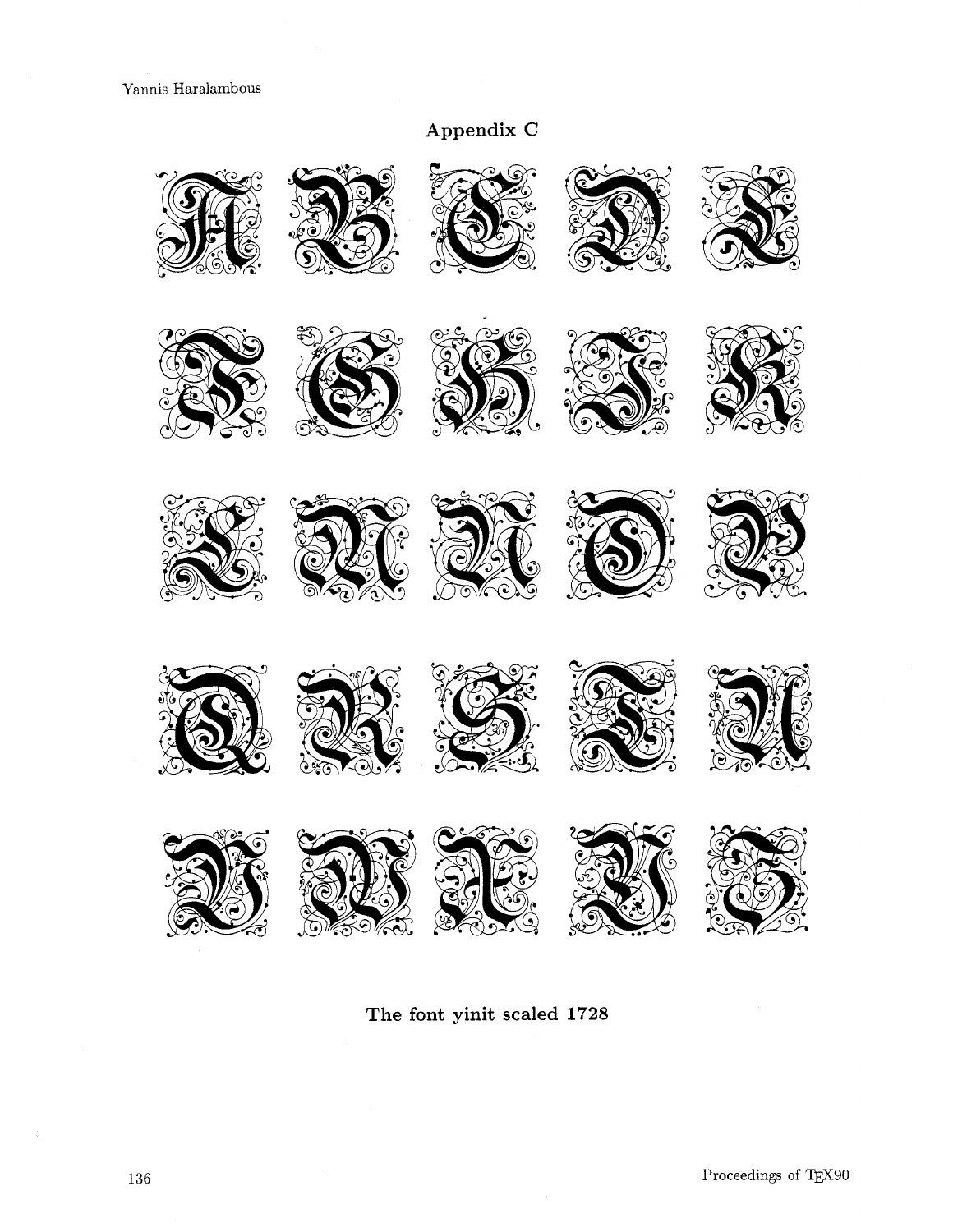# Appendix C



The font yinit scaled 1728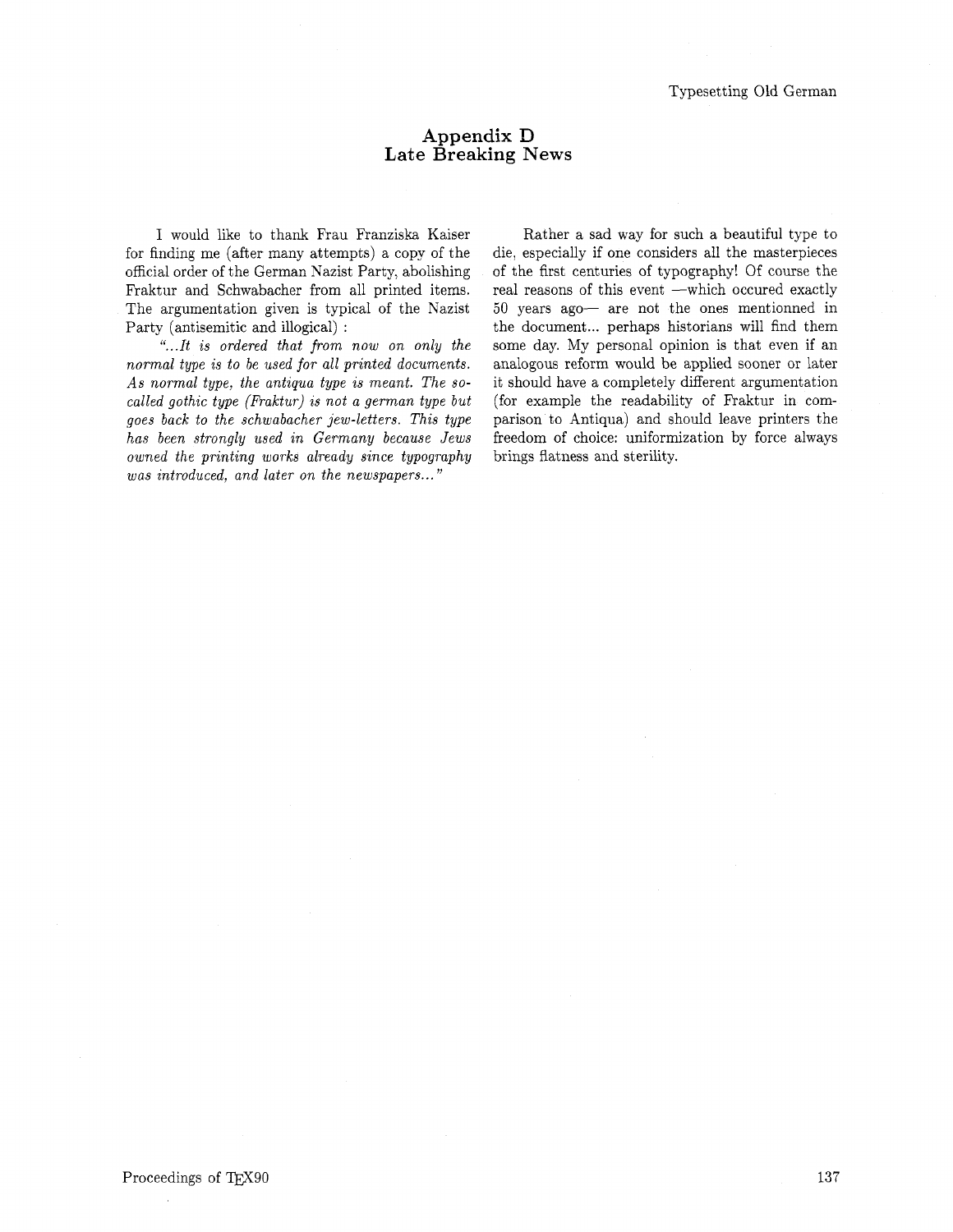#### **Appendix** D **Late Breaking News**

I would like to thank Frau Franziska Kaiser for finding me (after many attempts) a copy of the official order of the German Nazist Party, abolishing Fraktur and Schwabacher from all printed items. The argumentation given is typical of the Nazist Party (antisemitic and illogical) :

*"...It is ordered that from now on only the normal type is to be used for all printed documents. As normal type, the antiqua type is meant. The socalled gothic type (Fraktur) is not a german type but goes back to the schwabacher jew-letters. This type has been strongly used in Germany because Jews owned the printing works already since typography was introduced, and later on the newspapers* ..."

Rather a sad way for such a beautiful type to die, especially if one considers all the masterpieces of the first centuries of typography! Of course the real reasons of this event -which occured exactly 50 years ago- are not the ones mentionned in the document... perhaps historians will find them some day. My personal opinion is that even if an analogous reform would be applied sooner or later it should have a completely different argumentation (for example the readability of Fraktur in comparison to Antiqua) and should leave printers the freedom of choice: uniformization by force always brings flatness and sterility.